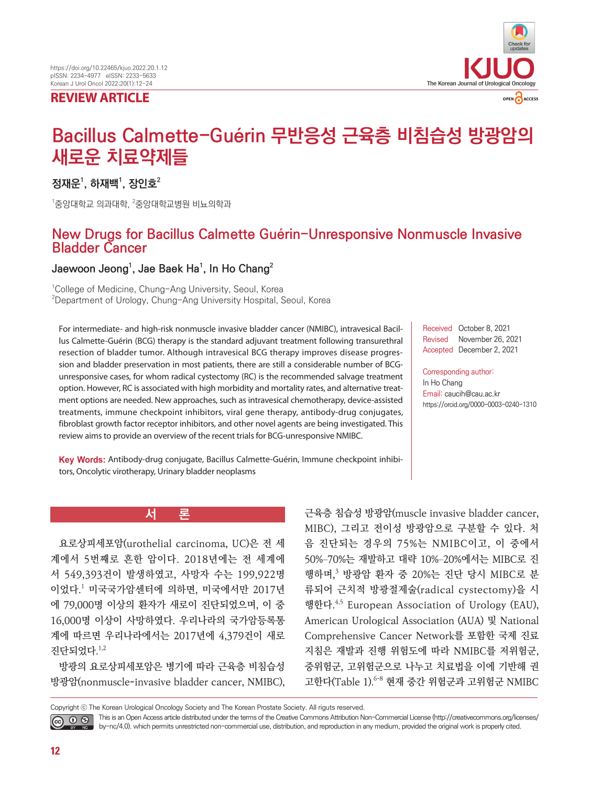## **REVIEW ARTICLE**



# Bacillus Calmette-Guérin 무반응성 근육층 비침습성 방광암의 새로운 치료약제들

**정재운<sup>1</sup> , 하재백<sup>1</sup> , 장인호<sup>2</sup>**

 $^{\rm 1}$ 중앙대학 $\rm \overline{n}$  의과대학,  $^{\rm 2}$ 중앙대학교병원 비뇨의학과

## New Drugs for Bacillus Calmette Guérin-Unresponsive Nonmuscle Invasive Bladder Cancer

**Jaewoon Jeong1 , Jae Baek Ha1 , In Ho Chang2**

1 College of Medicine, Chung-Ang University, Seoul, Korea 2 Department of Urology, Chung-Ang University Hospital, Seoul, Korea

For intermediate- and high-risk nonmuscle invasive bladder cancer (NMIBC), intravesical Bacillus Calmette-Guérin (BCG) therapy is the standard adjuvant treatment following transurethral resection of bladder tumor. Although intravesical BCG therapy improves disease progression and bladder preservation in most patients, there are still a considerable number of BCGunresponsive cases, for whom radical cystectomy (RC) is the recommended salvage treatment option. However, RC is associated with high morbidity and mortality rates, and alternative treatment options are needed. New approaches, such as intravesical chemotherapy, device-assisted treatments, immune checkpoint inhibitors, viral gene therapy, antibody-drug conjugates, fibroblast growth factor receptor inhibitors, and other novel agents are being investigated. This review aims to provide an overview of the recent trials for BCG-unresponsive NMIBC.

Received October 8, 2021 Revised November 26, 2021 Accepted December 2, 2021

#### Corresponding author:

In Ho Chang Email: caucih@cau.ac.kr https://orcid.org/0000-0003-0240-1310

**Key Words:** Antibody-drug conjugate, Bacillus Calmette-Guérin, Immune checkpoint inhibitors, Oncolytic virotherapy, Urinary bladder neoplasms

#### 서

요로상피세포암(urothelial carcinoma, UC)은 전 세 계에서 5번째로 흔한 암이다. 2018년에는 전 세계에 서 549,393건이 발생하였고, 사망자 수는 199,922명 이었다. 미국국가암센터에 의하면, 미국에서만 2017년 에 79,000명 이상의 환자가 새로이 진단되었으며, 이 중 16,000명 이상이 사망하였다. 우리나라의 국가암등록통 계에 따르면 우리나라에서는 2017년에 4,379건이 새로 진단되었다.1,2

방광의 요로상피세포암은 병기에 따라 근육층 비침습성 방광암(nonmuscle-invasive bladder cancer, NMIBC),

근육층 침습성 방광암(muscle invasive bladder cancer, MIBC), 그리고 전이성 방광암으로 구분할 수 있다. 처 음 진단되는 경우의 75%는 NMIBC이고, 이 중에서 50%–70%는 재발하고 대략 10%–20%에서는 MIBC로 진 행하며,<sup>3</sup> 방광암 환자 중 20%는 진단 당시 MIBC로 분 류되어 근치적 방광절제술(radical cystectomy)을 시 행한다.4,5 European Association of Urology (EAU), American Urological Association (AUA) 및 National Comprehensive Cancer Network를 포함한 국제 진료 지침은 재발과 진행 위험도에 따라 NMIBC를 저위험군, 중위험군, 고위험군으로 나누고 치료법을 이에 기반해 권 고한다(Table 1).6-8 현재 중간 위험군과 고위험군 NMIBC

Copyright ⓒ The Korean Urological Oncology Society and The Korean Prostate Society. All riguts reserved.

This is an Open Access article distributed under the terms of the Creative Commons Attribution Non-Commercial License (http://creativecommons.org/licenses/ **@** 0 0 by-nc/4.0). which permits unrestricted non-commercial use, distribution, and reproduction in any medium, provided the original work is properly cited.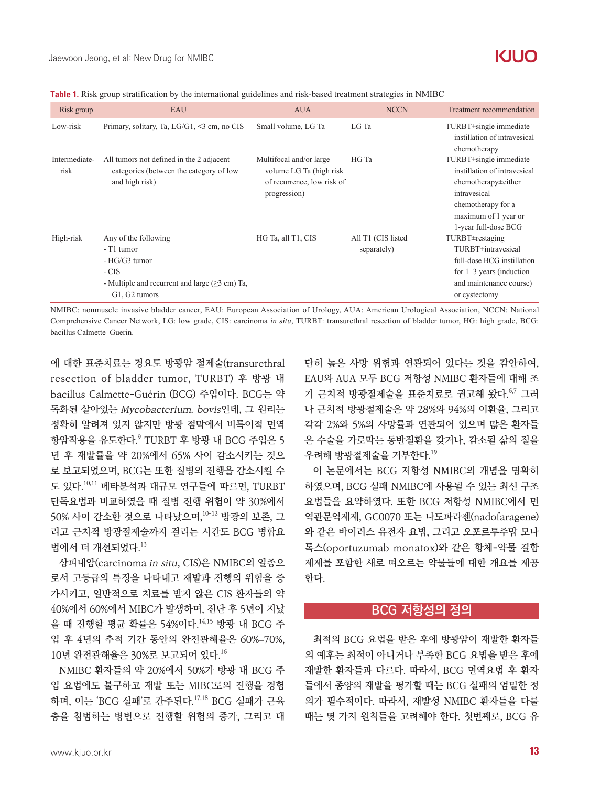| Risk group            | EAU                                                                                                                                    | <b>AUA</b>                                                                                       | <b>NCCN</b>                       | Treatment recommendation                                                                                                                                                  |
|-----------------------|----------------------------------------------------------------------------------------------------------------------------------------|--------------------------------------------------------------------------------------------------|-----------------------------------|---------------------------------------------------------------------------------------------------------------------------------------------------------------------------|
| Low-risk              | Primary, solitary, Ta, LG/G1, <3 cm, no CIS                                                                                            | Small volume, LG Ta                                                                              | LG Ta                             | TURBT+single immediate<br>instillation of intravesical<br>chemotherapy                                                                                                    |
| Intermediate-<br>risk | All tumors not defined in the 2 adjacent<br>categories (between the category of low<br>and high risk)                                  | Multifocal and/or large<br>volume LG Ta (high risk<br>of recurrence, low risk of<br>progression) | HG Ta                             | TURBT+single immediate<br>instillation of intravesical<br>$chemotherapy \pm either$<br>intravesical<br>chemotherapy for a<br>maximum of 1 year or<br>1-year full-dose BCG |
| High-risk             | Any of the following<br>- T1 tumor<br>- HG/G3 tumor<br>$-CIS$<br>- Multiple and recurrent and large $(\geq 3$ cm) Ta,<br>G1, G2 tumors | HG Ta, all T1, CIS                                                                               | All T1 (CIS listed<br>separately) | TURBT±restaging<br>TURBT+intravesical<br>full-dose BCG instillation<br>for $1-3$ years (induction<br>and maintenance course)<br>or cystectomy                             |

Table 1. Risk group stratification by the international guidelines and risk-based treatment strategies in NMIBC

NMIBC: nonmuscle invasive bladder cancer, EAU: European Association of Urology, AUA: American Urological Association, NCCN: National Comprehensive Cancer Network, LG: low grade, CIS: carcinoma in situ, TURBT: transurethral resection of bladder tumor, HG: high grade, BCG: bacillus Calmette–Guerin.

에 대한 표준치료는 경요도 방광암 절제술(transurethral resection of bladder tumor, TURBT) 후 방광 내 bacillus Calmette-Guérin (BCG) 주입이다. BCG는 약 독화된 살아있는 Mycobacterium. bovis인데, 그 원리는 정확히 알려져 있지 않지만 방광 점막에서 비특이적 면역 항암작용을 유도한다.<sup>9</sup> TURBT 후 방광 내 BCG 주입은 5 년 후 재발률을 약 20%에서 65% 사이 감소시키는 것으 로 보고되었으며, BCG는 또한 질병의 진행을 감소시킬 수 도 있다.10,11 메타분석과 대규모 연구들에 따르면, TURBT 단독요법과 비교하였을 때 질병 진행 위험이 약 30%에서 50% 사이 감소한 것으로 나타났으며,10-12 방광의 보존, 그 리고 근치적 방광절제술까지 걸리는 시간도 BCG 병합요 법에서 더 개선되었다.13

상피내암(carcinoma in situ, CIS)은 NMIBC의 일종으 로서 고등급의 특징을 나타내고 재발과 진행의 위험을 증 가시키고, 일반적으로 치료를 받지 않은 CIS 환자들의 약 40%에서 60%에서 MIBC가 발생하며, 진단 후 5년이 지났 을 때 진행할 평균 확률은 54%이다.<sup>14,15</sup> 방광 내 BCG 주 입 후 4년의 추적 기간 동안의 완전관해율은 60%–70%, 10년 완전관해율은 30%로 보고되어 있다.16

NMIBC 환자들의 약 20%에서 50%가 방광 내 BCG 주 입 요법에도 불구하고 재발 또는 MIBC로의 진행을 경험 하며, 이는 'BCG 실패'로 간주된다.<sup>17,18</sup> BCG 실패가 근육 층을 침범하는 병변으로 진행할 위험의 증가, 그리고 대 단히 높은 사망 위험과 연관되어 있다는 것을 감안하여, EAU와 AUA 모두 BCG 저항성 NMIBC 환자들에 대해 조 기 근치적 방광절제술을 표준치료로 권고해 왔다. 67 그러 나 근치적 방광절제술은 약 28%와 94%의 이환율, 그리고 각각 2%와 5%의 사망률과 연관되어 있으며 많은 환자들 은 수술을 가로막는 동반질환을 갖거나, 감소될 삶의 질을 우려해 방광절제술을 거부한다. $19$ 

이 논문에서는 BCG 저항성 NMIBC의 개념을 명확히 하였으며, BCG 실패 NMIBC에 사용될 수 있는 최신 구조 요법들을 요약하였다. 또한 BCG 저항성 NMIBC에서 면 역관문억제제, GC0070 또는 나도파라젠(nadofaragene) 와 같은 바이러스 유전자 요법, 그리고 오포르투주맙 모나 톡스(oportuzumab monatox)와 같은 항체-약물 결합 제제를 포함한 새로 떠오르는 약물들에 대한 개요를 제공 한다.

### BCG 저항성의 정의

최적의 BCG 요법을 받은 후에 방광암이 재발한 환자들 의 예후는 최적이 아니거나 부족한 BCG 요법을 받은 후에 재발한 환자들과 다르다. 따라서, BCG 면역요법 후 환자 들에서 종양의 재발을 평가할 때는 BCG 실패의 엄밀한 정 의가 필수적이다. 따라서, 재발성 NMIBC 환자들을 다룰 때는 몇 가지 원칙들을 고려해야 한다. 첫번째로, BCG 유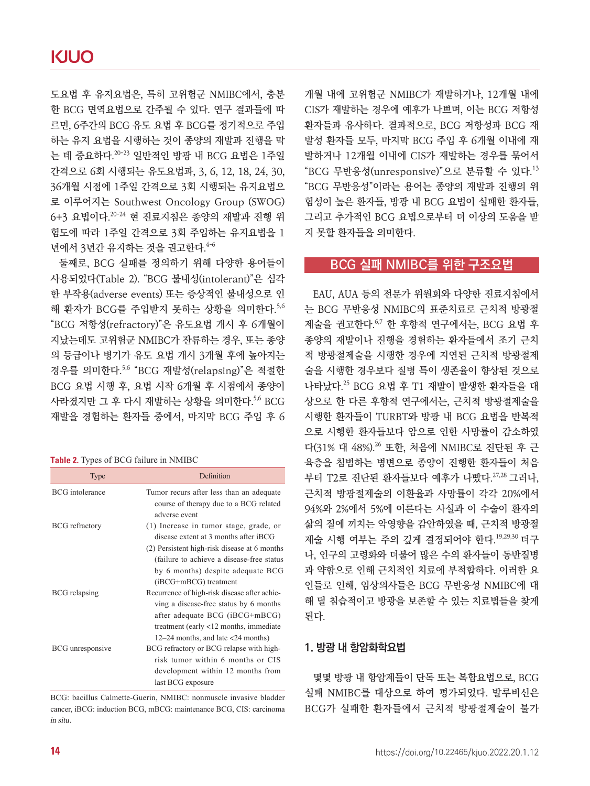## **KJUO**

도요법 후 유지요법은, 특히 고위험군 NMIBC에서, 충분 한 BCG 면역요법으로 간주될 수 있다. 연구 결과들에 따 르면, 6주간의 BCG 유도 요법 후 BCG를 정기적으로 주입 하는 유지 요법을 시행하는 것이 종양의 재발과 진행을 막 는 데 중요하다.<sup>20-23</sup> 일반적인 방광 내 BCG 요법은 1주일 간격으로 6회 시행되는 유도요법과, 3, 6, 12, 18, 24, 30, 36개월 시점에 1주일 간격으로 3회 시행되는 유지요법으 로 이루어지는 Southwest Oncology Group (SWOG)  $6+3$  요법이다.<sup>20-24</sup> 현 지료지침은 종양의 재발과 진행 위 험도에 따라 1주일 간격으로 3회 주입하는 유지요법을 1 년에서 3년간 유지하는 것을 권고한다.<sup>4-6</sup>

둘째로, BCG 실패를 정의하기 위해 다양한 용어들이 사용되었다(Table 2). "BCG 불내성(intolerant)"은 심각 한 부작용(adverse events) 또는 증상적인 불내성으로 인 해 환자가 BCG를 주입받지 못하는 상황을 의미한다.<sup>5,6</sup> "BCG 저항성(refractory)"은 유도요법 개시 후 6개월이 지났는데도 고위험군 NMIBC가 잔류하는 경우, 또는 종양 의 등급이나 병기가 유도 요법 개시 3개월 후에 높아지는 경우를 의미한다.5,6 "BCG 재발성(relapsing)"은 적절한 BCG 요법 시행 후, 요법 시작 6개월 후 시점에서 종양이  $\lambda$ 라졌지만 그 후 다시 재발하는 상황을 의미한다. $5.6\,$  BCG 재발을 경험하는 환자들 중에서, 마지막 BCG 주입 후 6

Table 2. Types of BCG failure in NMIBC

| Type                   | Definition                                                                                          |
|------------------------|-----------------------------------------------------------------------------------------------------|
| <b>BCG</b> intolerance | Tumor recurs after less than an adequate<br>course of therapy due to a BCG related<br>adverse event |
| <b>BCG</b> refractory  | (1) Increase in tumor stage, grade, or<br>disease extent at 3 months after iBCG                     |
|                        | (2) Persistent high-risk disease at 6 months                                                        |
|                        | (failure to achieve a disease-free status)                                                          |
|                        | by 6 months) despite adequate BCG                                                                   |
|                        | (iBCG+mBCG) treatment                                                                               |
| <b>BCG</b> relapsing   | Recurrence of high-risk disease after achie-                                                        |
|                        | ving a disease-free status by 6 months                                                              |
|                        | after adequate BCG (iBCG+mBCG)                                                                      |
|                        | treatment (early <12 months, immediate                                                              |
|                        | $12-24$ months, and late $\langle 24 \text{ months} \rangle$                                        |
| BCG unresponsive       | BCG refractory or BCG relapse with high-                                                            |
|                        | risk tumor within 6 months or CIS                                                                   |
|                        | development within 12 months from                                                                   |
|                        | last BCG exposure                                                                                   |

BCG: bacillus Calmette-Guerin, NMIBC: nonmuscle invasive bladder cancer, iBCG: induction BCG, mBCG: maintenance BCG, CIS: carcinoma in situ.

개월 내에 고위험군 NMIBC가 재발하거나, 12개월 내에 CIS가 재발하는 경우에 예후가 나쁘며, 이는 BCG 저항성 환자들과 유사하다. 결과적으로, BCG 저항성과 BCG 재 발성 환자들 모두, 마지막 BCG 주입 후 6개월 이내에 재 발하거나 12개월 이내에 CIS가 재발하는 경우를 묶어서 "BCG 무반응성(unresponsive)"으로 분류할 수 있다.<sup>13</sup> "BCG 무반응성"이라는 용어는 종양의 재발과 진행의 위 험성이 높은 환자들, 방광 내 BCG 요법이 실패한 환자들, 그리고 추가적인 BCG 요법으로부터 더 이상의 도움을 받 지 못할 환자들을 의미한다.

## BCG 실패 NMIBC를 위한 구조요법

EAU, AUA 등의 전문가 위원회와 다양한 진료지침에서 는 BCG 무반응성 NMIBC의 표준치료로 근치적 방광절 제술을 권고한다.6,7 한 후향적 연구에서는, BCG 요법 후 종양의 재발이나 진행을 경험하는 환자들에서 조기 근치 적 방광절제술을 시행한 경우에 지연된 근치적 방광절제 술을 시행한 경우보다 질병 특이 생존율이 향상된 것으로 나타났다.25 BCG 요법 후 T1 재발이 발생한 환자들을 대 상으로 한 다른 후향적 연구에서는, 근치적 방광절제술을 시행한 환자들이 TURBT와 방광 내 BCG 요법을 반복적 으로 시행한 환자들보다 암으로 인한 사망률이 감소하였 다(31% 대 48%).26 또한, 처음에 NMIBC로 진단된 후 근 육층을 침범하는 병변으로 종양이 진행한 환자들이 처음 부터 T2로 진단된 환자들보다 예후가 나빴다.<sup>27,28</sup> 그러나, 근치적 방광절제술의 이환율과 사망률이 각각 20%에서 94%와 2%에서 5%에 이른다는 사실과 이 수술이 환자의 삶의 질에 끼치는 악영향을 감안하였을 때, 근치적 방광절 제술 시행 여부는 주의 깊게 결정되어야 한다.19,29,30 더구 나, 인구의 고령화와 더불어 많은 수의 환자들이 동반질병 과 약함으로 인해 근치적인 치료에 부적합하다. 이러한 요 인들로 인해, 임상의사들은 BCG 무반응성 NMIBC에 대 해 덜 침습적이고 방광을 보존할 수 있는 치료법들을 찾게 된다.

## 1. 방광 내 항암화학요법

몇몇 방광 내 항암제들이 단독 또는 복합요법으로, BCG 실패 NMIBC를 대상으로 하여 평가되었다. 발루비신은 BCG가 실패한 환자들에서 근치적 방광절제술이 불가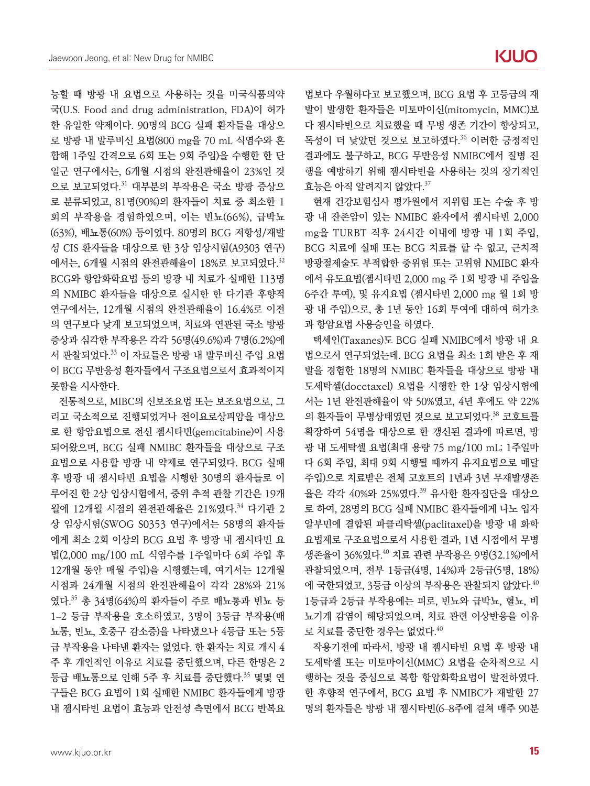능할 때 방광 내 요법으로 사용하는 것을 미국식품의약 국(U.S. Food and drug administration, FDA)이 허가 한 유일한 약제이다. 90명의 BCG 실패 환자들을 대상으 로 방광 내 발루비신 요법(800 mg을 70 mL 식염수와 혼 합해 1주일 간격으로 6회 또는 9회 주입)을 수행한 한 단 일군 연구에서는, 6개월 시점의 완전관해율이 23%인 것 으로 보고되었다.31 대부분의 부작용은 국소 방광 증상으 로 분류되었고, 81명(90%)의 환자들이 치료 중 최소한 1 회의 부작용을 경험하였으며, 이는 빈뇨(66%), 급박뇨 (63%), 배뇨통(60%) 등이었다. 80명의 BCG 저항성/재발 성 CIS 환자들을 대상으로 한 3상 임상시험(A9303 연구)  $M$ 서는,  $6$ 개월 시점의 와전관해율이 18%로 보고되었다.  $32$ BCG와 항암화학요법 등의 방광 내 치료가 실패한 113명 의 NMIBC 환자들을 대상으로 실시한 한 다기관 후향적 연구에서는, 12개월 시점의 완전관해율이 16.4%로 이전 의 연구보다 낮게 보고되었으며, 치료와 연관된 국소 방광 증상과 심각한 부작용은 각각 56명(49.6%)과 7명(6.2%)에 서 관찰되었다.33 이 자료들은 방광 내 발루비신 주입 요법 이 BCG 무반응성 환자들에서 구조요법으로서 효과적이지 못함을 시사한다.

전통적으로, MIBC의 신보조요법 또는 보조요법으로, 그 리고 국소적으로 진행되었거나 전이요로상피암을 대상으 로 한 항암요법으로 전신 젬시타빈(gemcitabine)이 사용 되어왔으며, BCG 실패 NMIBC 환자들을 대상으로 구조 요법으로 사용할 방광 내 약제로 연구되었다. BCG 실패 후 방광 내 젬시타빈 요법을 시행한 30명의 환자들로 이 루어진 한 2상 임상시험에서, 중위 추적 관찰 기간은 19개 월에 12개월 시점의 완전관해율은 21%였다.<sup>34</sup> 다기관 2 상 임상시험(SWOG S0353 연구)에서는 58명의 환자들 에게 최소 2회 이상의 BCG 요법 후 방광 내 젬시타빈 요 법(2,000 mg/100 mL 식염수를 1주일마다 6회 주입 후 12개월 동안 매월 주입)을 시행했는데, 여기서는 12개월 시점과 24개월 시점의 완전관해율이 각각 28%와 21% 였다.35 총 34명(64%)의 환자들이 주로 배뇨통과 빈뇨 등 1–2 등급 부작용을 호소하였고, 3명이 3등급 부작용(배 뇨통, 빈뇨, 호중구 감소증)을 나타냈으나 4등급 또는 5등 급 부작용을 나타낸 환자는 없었다. 한 환자는 치료 개시 4 주 후 개인적인 이유로 치료를 중단했으며, 다른 한명은 2 등급 배뇨통으로 인해 5주 후 치료를 중단했다.<sup>35</sup> 몇몇 연 구들은 BCG 요법이 1회 실패한 NMIBC 환자들에게 방광 내 젬시타빈 요법이 효능과 안전성 측면에서 BCG 반복요

법보다 우월하다고 보고했으며, BCG 요법 후 고등급의 재 발이 발생한 환자들은 미토마이신(mitomycin, MMC)보 다 젬시타빈으로 치료했을 때 무병 생존 기간이 향상되고, 독성이 더 낮았던 것으로 보고하였다.<sup>36</sup> 이러한 긍정적인 결과에도 불구하고, BCG 무반응성 NMIBC에서 질병 진

현재 건강보험심사 평가원에서 저위험 또는 수술 후 방 광 내 잔존암이 있는 NMIBC 환자에서 젬시타빈 2,000 mg을 TURBT 직후 24시간 이내에 방광 내 1회 주입, BCG 치료에 실패 또는 BCG 치료를 할 수 없고, 근치적 방광절제술도 부적합한 중위험 또는 고위험 NMIBC 환자 에서 유도요법(젬시타빈 2,000 mg 주 1회 방광 내 주입을 6주간 투여), 및 유지요법 (젬시타빈 2,000 mg 월 1회 방 광 내 주입)으로, 총 1년 동안 16회 투여에 대하여 허가초 과 항암요법 사용승인을 하였다.

 $\mathbf{\tilde{\Omega}}$ 능은 아직 알려지지 않았다.  $37$ 

택세인(Taxanes)도 BCG 실패 NMIBC에서 방광 내 요 법으로서 연구되었는데. BCG 요법을 최소 1회 받은 후 재 발을 경험한 18명의 NMIBC 환자들을 대상으로 방광 내 도세탁셀(docetaxel) 요법을 시행한 한 1상 임상시험에 서는 1년 완전관해율이 약 50%였고, 4년 후에도 약 22% 의 환자들이 무병상태였던 것으로 보고되었다.38 코호트를 확장하여 54명을 대상으로 한 갱신된 결과에 따르면, 방 광 내 도세탁셀 요법(최대 용량 75 mg/100 mL; 1주일마 다 6회 주입, 최대 9회 시행될 때까지 유지요법으로 매달 주입)으로 치료받은 전체 코호트의 1년과 3년 무재발생존 율은 각각 40%와 25%였다.<sup>39</sup> 유사한 환자집단을 대상으 로 하여, 28명의 BCG 실패 NMIBC 환자들에게 나노 입자 알부민에 결합된 파클리탁셀(paclitaxel)을 방광 내 화학 요법제로 구조요법으로서 사용한 결과, 1년 시점에서 무병 생존율이 36%였다.40 치료 관련 부작용은 9명(32.1%)에서 관찰되었으며, 전부 1등급(4명, 14%)과 2등급(5명, 18%)  $\gamma$ 에 국한되었고, 3등급 이상의 부작용은 관찰되지 않았다.  $^{40}$ 1등급과 2등급 부작용에는 피로, 빈뇨와 급박뇨, 혈뇨, 비 뇨기계 감염이 해당되었으며, 치료 관련 이상반응을 이유 로 치료를 중단한 경우는 없었다. 40

작용기전에 따라서, 방광 내 젬시타빈 요법 후 방광 내 도세탁셀 또는 미토마이신(MMC) 요법을 순차적으로 시 행하는 것을 중심으로 복합 항암화학요법이 발전하였다. 한 후향적 연구에서, BCG 요법 후 NMIBC가 재발한 27 명의 환자들은 방광 내 젬시타빈(6–8주에 걸쳐 매주 90분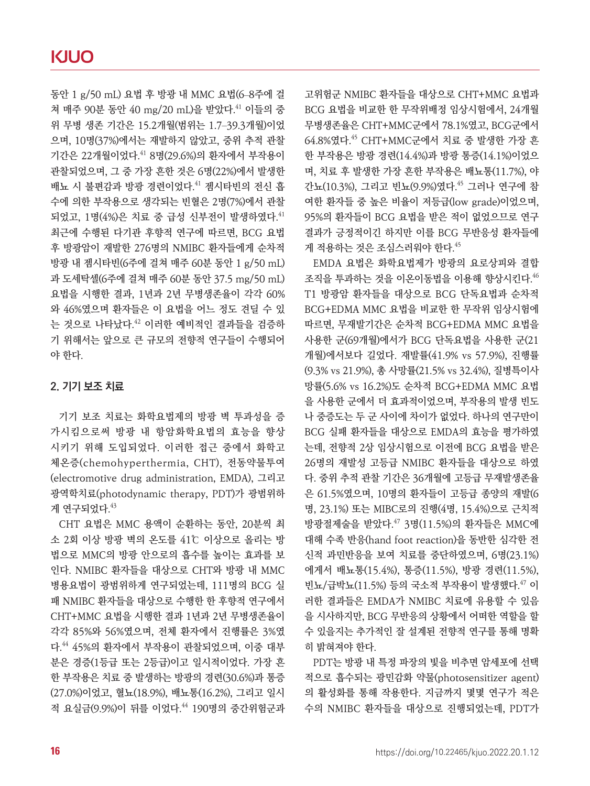동안 1 g/50 mL) 요법 후 방광 내 MMC 요법(6–8주에 걸 쳐 매주 90분 동안 40 mg/20 mL)을 받았다.<sup>41</sup> 이들의 중 위 무병 생존 기간은 15.2개월(범위는 1.7–39.3개월)이었 으며, 10명(37%)에서는 재발하지 않았고, 중위 추적 관찰 기간은 22개월이었다.41 8명(29.6%)의 환자에서 부작용이 관찰되었으며, 그 중 가장 흔한 것은 6명(22%)에서 발생한 배뇨 시 불편감과 방광 경련이었다.<sup>41</sup> 젬시타빈의 전신 흡 수에 의한 부작용으로 생각되는 빈혈은 2명(7%)에서 관찰 되었고, 1명(4%)은 치료 중 급성 신부전이 발생하였다.  $41$ 최근에 수행된 다기관 후향적 연구에 따르면, BCG 요법 후 방광암이 재발한 276명의 NMIBC 환자들에게 순차적 방광 내 젬시타빈(6주에 걸쳐 매주 60분 동안 1 g/50 mL) 과 도세탁셀(6주에 걸쳐 매주 60분 동안 37.5 mg/50 mL) 요법을 시행한 결과, 1년과 2년 무병생존율이 각각 60% 와 46%였으며 환자들은 이 요법을 어느 정도 견딜 수 있 는 것으로 나타났다.42 이러한 예비적인 결과들을 검증하 기 위해서는 앞으로 큰 규모의 전향적 연구들이 수행되어 야 한다.

## 2. 기기 보조 치료

기기 보조 치료는 화학요법제의 방광 벽 투과성을 증 가시킴으로써 방광 내 항암화학요법의 효능을 향상 시키기 위해 도입되었다. 이러한 접근 중에서 화학고 체온증(chemohyperthermia, CHT), 전동약물투여 (electromotive drug administration, EMDA), 그리고 광역학치료(photodynamic therapy, PDT)가 광범위하 게 여구되었다. $43$ 

CHT 요법은 MMC 용액이 순환하는 동안, 20분씩 최 소 2회 이상 방광 벽의 온도를 41℃ 이상으로 올리는 방 법으로 MMC의 방광 안으로의 흡수를 높이는 효과를 보 인다. NMIBC 환자들을 대상으로 CHT와 방광 내 MMC 병용요법이 광범위하게 연구되었는데, 111명의 BCG 실 패 NMIBC 환자들을 대상으로 수행한 한 후향적 연구에서 CHT+MMC 요법을 시행한 결과 1년과 2년 무병생존율이 각각 85%와 56%였으며, 전체 환자에서 진행률은 3%였 다.44 45%의 환자에서 부작용이 관찰되었으며, 이중 대부 분은 경증(1등급 또는 2등급)이고 일시적이었다. 가장 흔 한 부작용은 치료 중 발생하는 방광의 경련(30.6%)과 통증 (27.0%)이었고, 혈뇨(18.9%), 배뇨통(16.2%), 그리고 일시 적 요실금(9.9%)이 뒤를 이었다.<sup>44</sup> 190명의 중간위험군과

고위험군 NMIBC 환자들을 대상으로 CHT+MMC 요법과 BCG 요법을 비교한 한 무작위배정 임상시험에서, 24개월 무병생존율은 CHT+MMC군에서 78.1%였고, BCG군에서 64.8%였다.<sup>45</sup> CHT+MMC군에서 치료 중 발생한 가장 흔 한 부작용은 방광 경련(14.4%)과 방광 통증(14.1%)이었으 며, 치료 후 발생한 가장 흔한 부작용은 배뇨통(11.7%), 야 간뇨(10.3%), 그리고 빈뇨(9.9%)였다.45 그러나 연구에 참 여한 환자들 중 높은 비율이 저등급(low grade)이었으며, 95%의 환자들이 BCG 요법을 받은 적이 없었으므로 연구 결과가 긍정적이긴 하지만 이를 BCG 무반응성 환자들에 게 적용하는 것은 조심스러워야 한다. $45$ 

EMDA 요법은 화학요법제가 방광의 요로상피와 결합 조직을 투과하는 것을 이온이동법을 이용해 향상시킨다. 46 T1 방광암 환자들을 대상으로 BCG 단독요법과 순차적 BCG+EDMA MMC 요법을 비교한 한 무작위 임상시험에 따르면, 무재발기간은 순차적 BCG+EDMA MMC 요법을 사용한 군(69개월)에서가 BCG 단독요법을 사용한 군(21 개월)에서보다 길었다. 재발률(41.9% vs 57.9%), 진행률 (9.3% vs 21.9%), 총 사망률(21.5% vs 32.4%), 질병특이사 망률(5.6% vs 16.2%)도 순차적 BCG+EDMA MMC 요법 을 사용한 군에서 더 효과적이었으며, 부작용의 발생 빈도 나 중증도는 두 군 사이에 차이가 없었다. 하나의 연구만이 BCG 실패 환자들을 대상으로 EMDA의 효능을 평가하였 는데, 전향적 2상 임상시험으로 이전에 BCG 요법을 받은 26명의 재발성 고등급 NMIBC 환자들을 대상으로 하였 다. 중위 추적 관찰 기간은 36개월에 고등급 무재발생존율 은 61.5%였으며, 10명의 환자들이 고등급 종양의 재발(6 명, 23.1%) 또는 MIBC로의 진행(4명, 15.4%)으로 근치적 방광절제술을 받았다.47 3명(11.5%)의 환자들은 MMC에 대해 수족 반응(hand foot reaction)을 동반한 심각한 전 신적 과민반응을 보여 치료를 중단하였으며, 6명(23.1%) 에게서 배뇨통(15.4%), 통증(11.5%), 방광 경련(11.5%), 빈뇨/급박뇨(11.5%) 등의 국소적 부작용이 발생했다.<sup>47</sup> 이 러한 결과들은 EMDA가 NMIBC 치료에 유용할 수 있음 을 시사하지만, BCG 무반응의 상황에서 어떠한 역할을 할 수 있을지는 추가적인 잘 설계된 전향적 연구를 통해 명확 히 밝혀져야 한다.

PDT는 방광 내 특정 파장의 빛을 비추면 암세포에 선택 적으로 흡수되는 광민감화 약물(photosensitizer agent) 의 활성화를 통해 작용한다. 지금까지 몇몇 연구가 적은 수의 NMIBC 환자들을 대상으로 진행되었는데, PDT가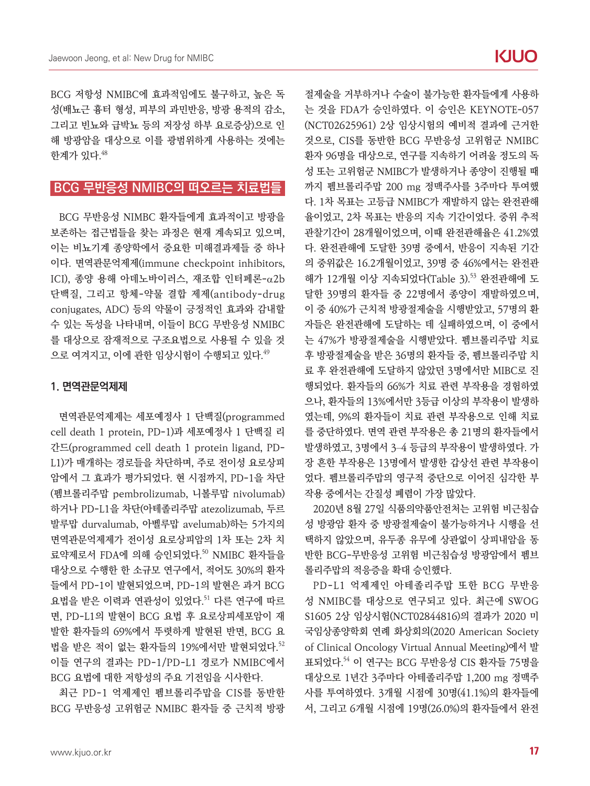BCG 저항성 NMIBC에 효과적임에도 불구하고, 높은 독 성(배뇨근 흉터 형성, 피부의 과민반응, 방광 용적의 감소, 그리고 빈뇨와 급박뇨 등의 저장성 하부 요로증상)으로 인 해 방광암을 대상으로 이를 광범위하게 사용하는 것에는 한계가 있다. 48

## BCG 무반응성 NMIBC의 떠오르는 치료법들

BCG 무반응성 NIMBC 환자들에게 효과적이고 방광을 보존하는 접근법들을 찾는 과정은 현재 계속되고 있으며, 이는 비뇨기계 종양학에서 중요한 미해결과제들 중 하나 이다. 면역관문억제제(immune checkpoint inhibitors, ICI), 종양 용해 아데노바이러스, 재조합 인터페론-α2b 단백질, 그리고 항체-약물 결합 제제(antibody-drug conjugates, ADC) 등의 약물이 긍정적인 효과와 감내할 수 있는 독성을 나타내며, 이들이 BCG 무반응성 NMIBC 를 대상으로 잠재적으로 구조요법으로 사용될 수 있을 것 으로 여겨지고, 이에 관한 임상시험이 수행되고 있다. 49

### 1. 면역관문억제제

면역관문억제제는 세포예정사 1 단백질(programmed cell death 1 protein, PD-1)과 세포예정사 1 단백질 리 간드(programmed cell death 1 protein ligand, PD-L1)가 매개하는 경로들을 차단하며, 주로 전이성 요로상피 암에서 그 효과가 평가되었다. 현 시점까지, PD-1을 차단 (펨브롤리주맙 pembrolizumab, 니볼루맙 nivolumab) 하거나 PD-L1을 차단(아테졸리주맙 atezolizumab, 두르 발루맙 durvalumab, 아벨루맙 avelumab)하는 5가지의 면역관문억제제가 전이성 요로상피암의 1차 또는 2차 치 료약제로서 FDA에 의해 승인되었다.<sup>50</sup> NMIBC 환자들을 대상으로 수행한 한 소규모 연구에서, 적어도 30%의 환자 들에서 PD-1이 발현되었으며, PD-1의 발현은 과거 BCG 요법을 받은 이력과 연관성이 있었다.<sup>51</sup> 다른 연구에 따르 면, PD-L1의 발현이 BCG 요법 후 요로상피세포암이 재 발한 환자들의 69%에서 뚜렷하게 발현된 반면, BCG 요 법을 받은 적이 없는 환자들의 19%에서만 발현되었다.  $52$ 이들 연구의 결과는 PD-1/PD-L1 경로가 NMIBC에서 BCG 요법에 대한 저항성의 주요 기전임을 시사한다.

최근 PD-1 억제제인 펨브롤리주맙을 CIS를 동반한 BCG 무반응성 고위험군 NMIBC 환자들 중 근치적 방광

절제술을 거부하거나 수술이 불가능한 환자들에게 사용하 는 것을 FDA가 승인하였다. 이 승인은 KEYNOTE-057 (NCT02625961) 2상 임상시험의 예비적 결과에 근거한 것으로, CIS를 동반한 BCG 무반응성 고위험군 NMIBC 환자 96명을 대상으로, 연구를 지속하기 어려울 정도의 독 성 또는 고위험군 NMIBC가 발생하거나 종양이 진행될 때 까지 펨브롤리주맙 200 mg 정맥주사를 3주마다 투여했 다. 1차 목표는 고등급 NMIBC가 재발하지 않는 완전관해 율이었고, 2차 목표는 반응의 지속 기간이었다. 중위 추적 관찰기간이 28개월이었으며, 이때 완전관해율은 41.2%였 다. 완전관해에 도달한 39명 중에서, 반응이 지속된 기간 의 중위값은 16.2개월이었고, 39명 중 46%에서는 완전관 해가 12개월 이상 지속되었다(Table 3). 53 완전관해에 도 달한 39명의 환자들 중 22명에서 종양이 재발하였으며, 이 중 40%가 근치적 방광절제술을 시행받았고, 57명의 환 자들은 완전관해에 도달하는 데 실패하였으며, 이 중에서 는 47%가 방광절제술을 시행받았다. 펨브롤리주맙 치료 후 방광절제술을 받은 36명의 환자들 중, 펨브롤리주맙 치 료 후 완전관해에 도달하지 않았던 3명에서만 MIBC로 진 행되었다. 환자들의 66%가 치료 관련 부작용을 경험하였 으나, 환자들의 13%에서만 3등급 이상의 부작용이 발생하 였는데, 9%의 환자들이 치료 관련 부작용으로 인해 치료 를 중단하였다. 면역 관련 부작용은 총 21명의 환자들에서 발생하였고, 3명에서 3–4 등급의 부작용이 발생하였다. 가 장 흔한 부작용은 13명에서 발생한 갑상선 관련 부작용이 었다. 펨브롤리주맙의 영구적 중단으로 이어진 심각한 부 작용 중에서는 간질성 폐렴이 가장 많았다.

2020년 8월 27일 식품의약품안전처는 고위험 비근침습 성 방광암 환자 중 방광절제술이 불가능하거나 시행을 선 택하지 않았으며, 유두종 유무에 상관없이 상피내암을 동 반한 BCG-무반응성 고위험 비근침습성 방광암에서 펨브 롤리주맙의 적응증을 확대 승인했다.

PD-L1 억제제인 아테졸리주맙 또한 BCG 무반응 성 NMIBC를 대상으로 연구되고 있다. 최근에 SWOG S1605 2상 임상시험(NCT02844816)의 결과가 2020 미 국임상종양학회 연례 화상회의(2020 American Society of Clinical Oncology Virtual Annual Meeting)에서 발 표되었다.54 이 연구는 BCG 무반응성 CIS 환자들 75명을 대상으로 1년간 3주마다 아테졸리주맙 1,200 mg 정맥주 사를 투여하였다. 3개월 시점에 30명(41.1%)의 환자들에 서, 그리고 6개월 시점에 19명(26.0%)의 환자들에서 완전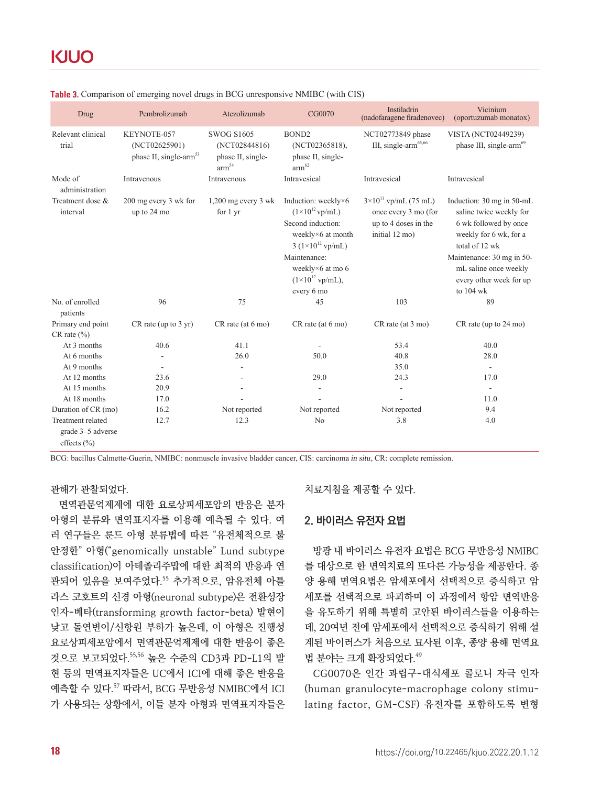| Drug                                                             | Pembrolizumab                                                      | Atezolizumab                                                                   | CG0070                                                                                                                                                                                                                | Instiladrin<br>(nadofaragene firadenovec)                                                        | Vicinium<br>(oportuzumab monatox)                                                                                                                                                                                         |
|------------------------------------------------------------------|--------------------------------------------------------------------|--------------------------------------------------------------------------------|-----------------------------------------------------------------------------------------------------------------------------------------------------------------------------------------------------------------------|--------------------------------------------------------------------------------------------------|---------------------------------------------------------------------------------------------------------------------------------------------------------------------------------------------------------------------------|
| Relevant clinical<br>trial                                       | KEYNOTE-057<br>(NCT02625901)<br>phase II, single-arm <sup>53</sup> | <b>SWOG S1605</b><br>(NCT02844816)<br>phase II, single-<br>$\mathrm{arm}^{54}$ | BOND <sub>2</sub><br>(NCT02365818),<br>phase II, single-<br>$\mathrm{arm}^{62}$                                                                                                                                       | NCT02773849 phase<br>III, single-arm <sup>65,66</sup>                                            | VISTA (NCT02449239)<br>phase III, single-arm <sup>69</sup>                                                                                                                                                                |
| Mode of<br>administration                                        | Intravenous                                                        | Intravenous                                                                    | Intravesical                                                                                                                                                                                                          | Intravesical                                                                                     | Intravesical                                                                                                                                                                                                              |
| Treatment dose &<br>interval                                     | 200 mg every 3 wk for<br>up to 24 mo                               | $1,200$ mg every 3 wk<br>for 1 yr                                              | Induction: weekly×6<br>$(1\times10^{12}$ vp/mL)<br>Second induction:<br>weekly×6 at month<br>$3(1\times10^{12} \text{ vp/mL})$<br>Maintenance:<br>weekly×6 at mo 6<br>$(1\times10^{12} \text{ vp/mL}),$<br>every 6 mo | $3\times10^{11}$ vp/mL (75 mL)<br>once every 3 mo (for<br>up to 4 doses in the<br>initial 12 mo) | Induction: 30 mg in 50-mL<br>saline twice weekly for<br>6 wk followed by once<br>weekly for 6 wk, for a<br>total of 12 wk<br>Maintenance: 30 mg in 50-<br>mL saline once weekly<br>every other week for up<br>to $104$ wk |
| No. of enrolled<br>patients                                      | 96                                                                 | 75                                                                             | 45                                                                                                                                                                                                                    | 103                                                                                              | 89                                                                                                                                                                                                                        |
| Primary end point<br>$CR$ rate $(\% )$                           | $CR$ rate (up to 3 yr)                                             | CR rate (at 6 mo)                                                              | CR rate (at 6 mo)                                                                                                                                                                                                     | CR rate (at 3 mo)                                                                                | CR rate (up to 24 mo)                                                                                                                                                                                                     |
| At 3 months                                                      | 40.6                                                               | 41.1                                                                           |                                                                                                                                                                                                                       | 53.4                                                                                             | 40.0                                                                                                                                                                                                                      |
| At 6 months                                                      |                                                                    | 26.0                                                                           | 50.0                                                                                                                                                                                                                  | 40.8                                                                                             | 28.0                                                                                                                                                                                                                      |
| At 9 months                                                      | $\overline{\phantom{a}}$                                           |                                                                                |                                                                                                                                                                                                                       | 35.0                                                                                             | $\overline{\phantom{a}}$                                                                                                                                                                                                  |
| At 12 months                                                     | 23.6                                                               |                                                                                | 29.0                                                                                                                                                                                                                  | 24.3                                                                                             | 17.0                                                                                                                                                                                                                      |
| At 15 months                                                     | 20.9                                                               |                                                                                |                                                                                                                                                                                                                       |                                                                                                  | $\sim$                                                                                                                                                                                                                    |
| At 18 months                                                     | 17.0                                                               |                                                                                |                                                                                                                                                                                                                       |                                                                                                  | 11.0                                                                                                                                                                                                                      |
| Duration of CR (mo)                                              | 16.2                                                               | Not reported                                                                   | Not reported                                                                                                                                                                                                          | Not reported                                                                                     | 9.4                                                                                                                                                                                                                       |
| <b>Treatment</b> related<br>grade 3-5 adverse<br>effects $(\% )$ | 12.7                                                               | 12.3                                                                           | N <sub>o</sub>                                                                                                                                                                                                        | 3.8                                                                                              | 4.0                                                                                                                                                                                                                       |

#### Table 3. Comparison of emerging novel drugs in BCG unresponsive NMIBC (with CIS)

BCG: bacillus Calmette-Guerin, NMIBC: nonmuscle invasive bladder cancer, CIS: carcinoma in situ, CR: complete remission.

### 관해가 관찰되었다.

면역관문억제제에 대한 요로상피세포암의 반응은 분자 아형의 분류와 면역표지자를 이용해 예측될 수 있다. 여 러 연구들은 룬드 아형 분류법에 따른 "유전체적으로 불 안정한" 아형("genomically unstable" Lund subtype classification)이 아테졸리주맙에 대한 최적의 반응과 연 관되어 있음을 보여주었다.<sup>55</sup> 추가적으로, 암유전체 아틀 라스 코호트의 신경 아형(neuronal subtype)은 전환성장 인자-베타(transforming growth factor-beta) 발현이 낮고 돌연변이/신항원 부하가 높은데, 이 아형은 진행성 요로상피세포암에서 면역관문억제제에 대한 반응이 좋은 것으로 보고되었다.55,56 높은 수준의 CD3과 PD-L1의 발 현 등의 면역표지자들은 UC에서 ICI에 대해 좋은 반응을 예측할 수 있다.<sup>57</sup> 따라서, BCG 무반응성 NMIBC에서 ICI 가 사용되는 상황에서, 이들 분자 아형과 면역표지자들은

#### 치료지침을 제공할 수 있다.

### 2. 바이러스 유전자 요법

방광 내 바이러스 유전자 요법은 BCG 무반응성 NMIBC 를 대상으로 한 면역치료의 또다른 가능성을 제공한다. 종 양 용해 면역요법은 암세포에서 선택적으로 증식하고 암 세포를 선택적으로 파괴하며 이 과정에서 항암 면역반응 을 유도하기 위해 특별히 고안된 바이러스들을 이용하는 데, 20여년 전에 암세포에서 선택적으로 증식하기 위해 설 계된 바이러스가 처음으로 묘사된 이후, 종양 용해 면역요 법 분야는 크게 확장되었다. $49$ 

CG0070은 인간 과립구-대식세포 콜로니 자극 인자 (human granulocyte-macrophage colony stimulating factor, GM-CSF) 유전자를 포함하도록 변형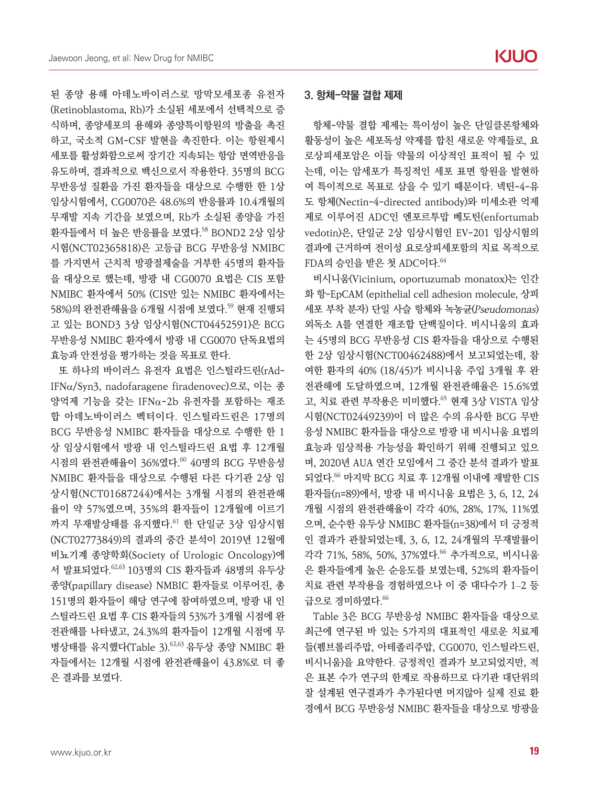된 종양 용해 아데노바이러스로 망막모세포종 유전자 (Retinoblastoma, Rb)가 소실된 세포에서 선택적으로 증 식하며, 종양세포의 용해와 종양특이항원의 방출을 촉진 하고, 국소적 GM-CSF 발현을 촉진한다. 이는 항원제시 세포를 활성화함으로써 장기간 지속되는 항암 면역반응을 유도하며, 결과적으로 백신으로서 작용한다. 35명의 BCG 무반응성 질환을 가진 환자들을 대상으로 수행한 한 1상 임상시험에서, CG0070은 48.6%의 반응률과 10.4개월의 무재발 지속 기간을 보였으며, Rb가 소실된 종양을 가진 환자들에서 더 높은 반응률을 보였다.<sup>58</sup> BOND2 2상 임상 시험(NCT02365818)은 고등급 BCG 무반응성 NMIBC 를 가지면서 근치적 방광절제술을 거부한 45명의 환자들 을 대상으로 했는데, 방광 내 CG0070 요법은 CIS 포함 NMIBC 환자에서 50% (CIS만 있는 NMIBC 환자에서는 58%)의 완전관해율을 6개월 시점에 보였다.59 현재 진행되 고 있는 BOND3 3상 임상시험(NCT04452591)은 BCG 무반응성 NMIBC 환자에서 방광 내 CG0070 단독요법의 효능과 안전성을 평가하는 것을 목표로 한다.

또 하나의 바이러스 유전자 요법은 인스틸라드린(rAd-IFNα/Syn3, nadofaragene firadenovec)으로, 이는 종 양억제 기능을 갖는 IFNα-2b 유전자를 포함하는 재조 합 아데노바이러스 벡터이다. 인스틸라드린은 17명의 BCG 무반응성 NMIBC 환자들을 대상으로 수행한 한 1 상 임상시험에서 방광 내 인스틸라드린 요법 후 12개월 시점의 완전관해율이 36%였다.<sup>60</sup> 40명의 BCG 무반응성 NMIBC 환자들을 대상으로 수행된 다른 다기관 2상 임 상시험(NCT01687244)에서는 3개월 시점의 완전관해 율이 약 57%였으며, 35%의 환자들이 12개월에 이르기  $m$ 지 무재발상태를 유지했다. $^{61}$  한 단일군 3상 임상시험 (NCT02773849)의 결과의 중간 분석이 2019년 12월에 비뇨기계 종양학회(Society of Urologic Oncology)에 서 발표되었다.<sup>62,63</sup> 103명의 CIS 환자들과 48명의 유두상 종양(papillary disease) NMBIC 환자들로 이루어진, 총 151명의 환자들이 해당 연구에 참여하였으며, 방광 내 인 스틸라드린 요법 후 CIS 환자들의 53%가 3개월 시점에 완 전관해를 나타냈고, 24.3%의 환자들이 12개월 시점에 무 병상태를 유지했다(Table 3).  $62,63$  유두상 종양 NMIBC 환 자들에서는 12개월 시점에 완전관해율이 43.8%로 더 좋 은 결과를 보였다.

## 3. 항체-약물 결합 제제

항체-약물 결합 제제는 특이성이 높은 단일클론항체와 활동성이 높은 세포독성 약제를 합친 새로운 약제들로, 요 로상피세포암은 이들 약물의 이상적인 표적이 될 수 있 는데, 이는 암세포가 특징적인 세포 표면 항원을 발현하 여 특이적으로 목표로 삼을 수 있기 때문이다. 넥틴-4-유 도 항체(Nectin-4-directed antibody)와 미세소관 억제 제로 이루어진 ADC인 엔포르투맙 베도틴(enfortumab vedotin)은, 단일군 2상 임상시험인 EV-201 임상시험의 결과에 근거하여 전이성 요로상피세포함의 치료 목적으로  $FDA$ 의 승인을 받은 첫 ADC이다. $^{64}$ 

비시니움(Vicinium, oportuzumab monatox)는 인간 화 항-EpCAM (epithelial cell adhesion molecule, 상피 세포 부착 분자) 단일 사슬 항체와 녹농균(Pseudomonas) 외독소 A를 연결한 재조합 단백질이다. 비시니움의 효과 는 45명의 BCG 무반응성 CIS 환자들을 대상으로 수행된 한 2상 임상시험(NCT00462488)에서 보고되었는데, 참 여한 환자의 40% (18/45)가 비시니움 주입 3개월 후 완 전관해에 도달하였으며, 12개월 완전관해율은 15.6%였 고, 치료 관련 부작용은 미미했다.<sup>65</sup> 현재 3상 VISTA 임상 시험(NCT02449239)이 더 많은 수의 유사한 BCG 무반 응성 NMIBC 환자들을 대상으로 방광 내 비시니움 요법의 효능과 임상적용 가능성을 확인하기 위해 진행되고 있으 며, 2020년 AUA 연간 모임에서 그 중간 분석 결과가 발표 되었다.66 마지막 BCG 치료 후 12개월 이내에 재발한 CIS 환자들(n=89)에서, 방광 내 비시니움 요법은 3, 6, 12, 24 개월 시점의 완전관해율이 각각 40%, 28%, 17%, 11%였 으며, 순수한 유두상 NMIBC 환자들(n=38)에서 더 긍정적 인 결과가 관찰되었는데, 3, 6, 12, 24개월의 무재발률이 각각 71%, 58%, 50%, 37%였다.<sup>66</sup> 추가적으로, 비시니움 은 환자들에게 높은 순응도를 보였는데, 52%의 환자들이 치료 관련 부작용을 경험하였으나 이 중 대다수가 1–2 등 급으로 경미하였다. $66$ 

Table 3은 BCG 무반응성 NMIBC 환자들을 대상으로 최근에 연구된 바 있는 5가지의 대표적인 새로운 치료제 들(펨브롤리주맙, 아테졸리주맙, CG0070, 인스틸라드린, 비시니움)을 요약한다. 긍정적인 결과가 보고되었지만, 적 은 표본 수가 연구의 한계로 작용하므로 다기관 대단위의 잘 설계된 연구결과가 추가된다면 머지않아 실제 진료 환 경에서 BCG 무반응성 NMIBC 환자들을 대상으로 방광을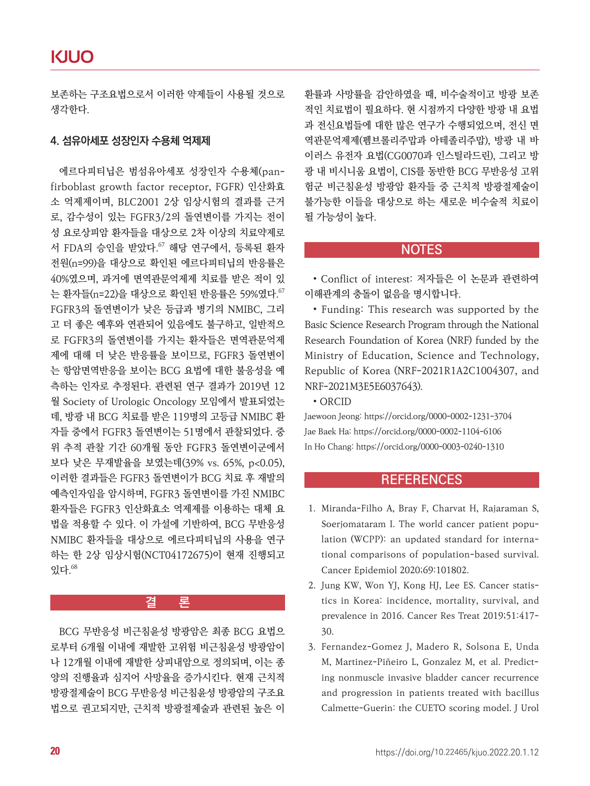## **KJUO**

보존하는 구조요법으로서 이러한 약제들이 사용될 것으로 생각한다.

## 4. 섬유아세포 성장인자 수용체 억제제

에르다피티닙은 범섬유아세포 성장인자 수용체(panfirboblast growth factor receptor, FGFR) 인산화효 소 억제제이며, BLC2001 2상 임상시험의 결과를 근거 로, 감수성이 있는 FGFR3/2의 돌연변이를 가지는 전이 성 요로상피암 환자들을 대상으로 2차 이상의 치료약제로 서 FDA의 승인을 받았다.  $^{67}$  해당 연구에서, 등록된 환자 전원(n=99)을 대상으로 확인된 에르다피티닙의 반응률은 40%였으며, 과거에 면역관문억제제 치료를 받은 적이 있 는 환자들(n=22)을 대상으로 확인된 반응률은 59%였다.  $67$ FGFR3의 돌연변이가 낮은 등급과 병기의 NMIBC, 그리 고 더 좋은 예후와 연관되어 있음에도 불구하고, 일반적으 로 FGFR3의 돌연변이를 가지는 환자들은 면역관문억제 제에 대해 더 낮은 반응률을 보이므로, FGFR3 돌연변이 는 항암면역반응을 보이는 BCG 요법에 대한 불응성을 예 측하는 인자로 추정된다. 관련된 연구 결과가 2019년 12 월 Society of Urologic Oncology 모임에서 발표되었는 데, 방광 내 BCG 치료를 받은 119명의 고등급 NMIBC 환 자들 중에서 FGFR3 돌연변이는 51명에서 관찰되었다. 중 위 추적 관찰 기간 60개월 동안 FGFR3 돌연변이군에서 보다 낮은 무재발율을 보였는데(39% vs. 65%, p**<**0.05), 이러한 결과들은 FGFR3 돌연변이가 BCG 치료 후 재발의 예측인자임을 암시하며, FGFR3 돌연변이를 가진 NMIBC 환자들은 FGFR3 인산화효소 억제제를 이용하는 대체 요 법을 적용할 수 있다. 이 가설에 기반하여, BCG 무반응성 NMIBC 환자들을 대상으로 에르다피티닙의 사용을 연구 하는 한 2상 임상시험(NCT04172675)이 현재 진행되고 있다.68

## 결 론

BCG 무반응성 비근침윤성 방광암은 최종 BCG 요법으 로부터 6개월 이내에 재발한 고위험 비근침윤성 방광암이 나 12개월 이내에 재발한 상피내암으로 정의되며, 이는 종 양의 진행율과 심지어 사망율을 증가시킨다. 현재 근치적 방광절제술이 BCG 무반응성 비근침윤성 방광암의 구조요 법으로 권고되지만, 근치적 방광절제술과 관련된 높은 이 환률과 사망률을 감안하였을 때, 비수술적이고 방광 보존 적인 치료법이 필요하다. 현 시점까지 다양한 방광 내 요법 과 전신요법들에 대한 많은 연구가 수행되었으며, 전신 면 역관문억제제(펨브롤리주맙과 아테졸리주맙), 방광 내 바 이러스 유전자 요법(CG0070과 인스틸라드린), 그리고 방 광 내 비시니움 요법이, CIS를 동반한 BCG 무반응성 고위 험군 비근침윤성 방광암 환자들 중 근치적 방광절제술이 불가능한 이들을 대상으로 하는 새로운 비수술적 치료이 될 가능성이 높다.

## NOTES

• Conflict of interest: 저자들은 이 논문과 관련하여 이해관계의 충돌이 없음을 명시합니다.

• Funding: This research was supported by the Basic Science Research Program through the National Research Foundation of Korea (NRF) funded by the Ministry of Education, Science and Technology, Republic of Korea (NRF-2021R1A2C1004307, and NRF-2021M3E5E6037643).

• ORCID

Jaewoon Jeong: https://orcid.org/0000-0002-1231-3704 Jae Baek Ha: https://orcid.org/0000-0002-1104-6106 In Ho Chang: https://orcid.org/0000-0003-0240-1310

## **REFERENCES**

- 1. Miranda-Filho A, Bray F, Charvat H, Rajaraman S, Soerjomataram I. The world cancer patient population (WCPP): an updated standard for international comparisons of population-based survival. Cancer Epidemiol 2020;69:101802.
- 2. Jung KW, Won YJ, Kong HJ, Lee ES. Cancer statistics in Korea: incidence, mortality, survival, and prevalence in 2016. Cancer Res Treat 2019;51:417- 30.
- 3. Fernandez-Gomez J, Madero R, Solsona E, Unda M, Martinez-Piñeiro L, Gonzalez M, et al. Predicting nonmuscle invasive bladder cancer recurrence and progression in patients treated with bacillus Calmette-Guerin: the CUETO scoring model. J Urol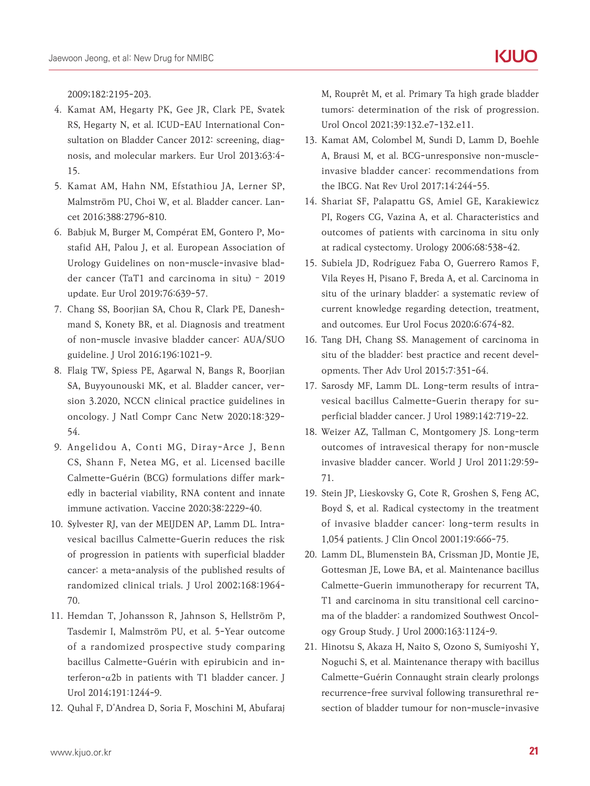2009;182:2195-203.

- 4. Kamat AM, Hegarty PK, Gee JR, Clark PE, Svatek RS, Hegarty N, et al. ICUD-EAU International Consultation on Bladder Cancer 2012: screening, diagnosis, and molecular markers. Eur Urol 2013;63:4- 15.
- 5. Kamat AM, Hahn NM, Efstathiou JA, Lerner SP, Malmström PU, Choi W, et al. Bladder cancer. Lancet 2016;388:2796-810.
- 6. Babjuk M, Burger M, Compérat EM, Gontero P, Mostafid AH, Palou J, et al. European Association of Urology Guidelines on non-muscle-invasive bladder cancer (TaT1 and carcinoma in situ) – 2019 update. Eur Urol 2019;76:639-57.
- 7. Chang SS, Boorjian SA, Chou R, Clark PE, Daneshmand S, Konety BR, et al. Diagnosis and treatment of non-muscle invasive bladder cancer: AUA/SUO guideline. J Urol 2016;196:1021-9.
- 8. Flaig TW, Spiess PE, Agarwal N, Bangs R, Boorjian SA, Buyyounouski MK, et al. Bladder cancer, version 3.2020, NCCN clinical practice guidelines in oncology. J Natl Compr Canc Netw 2020;18:329- 54.
- 9. Angelidou A, Conti MG, Diray-Arce J, Benn CS, Shann F, Netea MG, et al. Licensed bacille Calmette-Guérin (BCG) formulations differ markedly in bacterial viability, RNA content and innate immune activation. Vaccine 2020;38:2229-40.
- 10. Sylvester RJ, van der MEIJDEN AP, Lamm DL. Intravesical bacillus Calmette-Guerin reduces the risk of progression in patients with superficial bladder cancer: a meta-analysis of the published results of randomized clinical trials. J Urol 2002;168:1964- 70.
- 11. Hemdan T, Johansson R, Jahnson S, Hellström P, Tasdemir I, Malmström PU, et al. 5-Year outcome of a randomized prospective study comparing bacillus Calmette-Guérin with epirubicin and interferon- $α2b$  in patients with T1 bladder cancer. J Urol 2014;191:1244-9.
- 12. Quhal F, D'Andrea D, Soria F, Moschini M, Abufaraj

M, Rouprêt M, et al. Primary Ta high grade bladder tumors: determination of the risk of progression. Urol Oncol 2021;39:132.e7-132.e11.

- 13. Kamat AM, Colombel M, Sundi D, Lamm D, Boehle A, Brausi M, et al. BCG-unresponsive non-muscleinvasive bladder cancer: recommendations from the IBCG. Nat Rev Urol 2017;14:244-55.
- 14. Shariat SF, Palapattu GS, Amiel GE, Karakiewicz PI, Rogers CG, Vazina A, et al. Characteristics and outcomes of patients with carcinoma in situ only at radical cystectomy. Urology 2006;68:538-42.
- 15. Subiela JD, Rodríguez Faba O, Guerrero Ramos F, Vila Reyes H, Pisano F, Breda A, et al. Carcinoma in situ of the urinary bladder: a systematic review of current knowledge regarding detection, treatment, and outcomes. Eur Urol Focus 2020;6:674-82.
- 16. Tang DH, Chang SS. Management of carcinoma in situ of the bladder: best practice and recent developments. Ther Adv Urol 2015;7:351-64.
- 17. Sarosdy MF, Lamm DL. Long-term results of intravesical bacillus Calmette-Guerin therapy for superficial bladder cancer. J Urol 1989;142:719-22.
- 18. Weizer AZ, Tallman C, Montgomery JS. Long-term outcomes of intravesical therapy for non-muscle invasive bladder cancer. World J Urol 2011;29:59- 71.
- 19. Stein JP, Lieskovsky G, Cote R, Groshen S, Feng AC, Boyd S, et al. Radical cystectomy in the treatment of invasive bladder cancer: long-term results in 1,054 patients. J Clin Oncol 2001;19:666-75.
- 20. Lamm DL, Blumenstein BA, Crissman JD, Montie JE, Gottesman JE, Lowe BA, et al. Maintenance bacillus Calmette-Guerin immunotherapy for recurrent TA, T1 and carcinoma in situ transitional cell carcinoma of the bladder: a randomized Southwest Oncology Group Study. J Urol 2000;163:1124-9.
- 21. Hinotsu S, Akaza H, Naito S, Ozono S, Sumiyoshi Y, Noguchi S, et al. Maintenance therapy with bacillus Calmette-Guérin Connaught strain clearly prolongs recurrence-free survival following transurethral resection of bladder tumour for non-muscle-invasive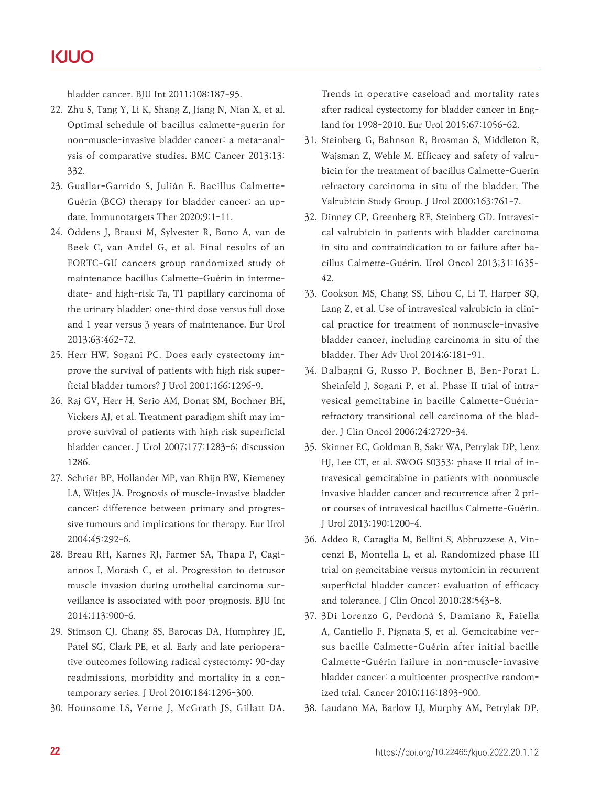bladder cancer. BJU Int 2011;108:187-95.

- 22. Zhu S, Tang Y, Li K, Shang Z, Jiang N, Nian X, et al. Optimal schedule of bacillus calmette-guerin for non-muscle-invasive bladder cancer: a meta-analysis of comparative studies. BMC Cancer 2013;13: 332.
- 23. Guallar-Garrido S, Julián E. Bacillus Calmette-Guérin (BCG) therapy for bladder cancer: an update. Immunotargets Ther 2020;9:1-11.
- 24. Oddens J, Brausi M, Sylvester R, Bono A, van de Beek C, van Andel G, et al. Final results of an EORTC-GU cancers group randomized study of maintenance bacillus Calmette-Guérin in intermediate- and high-risk Ta, T1 papillary carcinoma of the urinary bladder: one-third dose versus full dose and 1 year versus 3 years of maintenance. Eur Urol 2013;63:462-72.
- 25. Herr HW, Sogani PC. Does early cystectomy improve the survival of patients with high risk superficial bladder tumors? J Urol 2001;166:1296-9.
- 26. Raj GV, Herr H, Serio AM, Donat SM, Bochner BH, Vickers AJ, et al. Treatment paradigm shift may improve survival of patients with high risk superficial bladder cancer. J Urol 2007;177:1283-6; discussion 1286.
- 27. Schrier BP, Hollander MP, van Rhijn BW, Kiemeney LA, Witjes JA. Prognosis of muscle-invasive bladder cancer: difference between primary and progressive tumours and implications for therapy. Eur Urol 2004;45:292-6.
- 28. Breau RH, Karnes RJ, Farmer SA, Thapa P, Cagiannos I, Morash C, et al. Progression to detrusor muscle invasion during urothelial carcinoma surveillance is associated with poor prognosis. BJU Int 2014;113:900-6.
- 29. Stimson CJ, Chang SS, Barocas DA, Humphrey JE, Patel SG, Clark PE, et al. Early and late perioperative outcomes following radical cystectomy: 90-day readmissions, morbidity and mortality in a contemporary series. J Urol 2010;184:1296-300.
- 30. Hounsome LS, Verne J, McGrath JS, Gillatt DA.

Trends in operative caseload and mortality rates after radical cystectomy for bladder cancer in England for 1998-2010. Eur Urol 2015;67:1056-62.

- 31. Steinberg G, Bahnson R, Brosman S, Middleton R, Wajsman Z, Wehle M. Efficacy and safety of valrubicin for the treatment of bacillus Calmette-Guerin refractory carcinoma in situ of the bladder. The Valrubicin Study Group. J Urol 2000;163:761-7.
- 32. Dinney CP, Greenberg RE, Steinberg GD. Intravesical valrubicin in patients with bladder carcinoma in situ and contraindication to or failure after bacillus Calmette-Guérin. Urol Oncol 2013;31:1635- 42.
- 33. Cookson MS, Chang SS, Lihou C, Li T, Harper SQ, Lang Z, et al. Use of intravesical valrubicin in clinical practice for treatment of nonmuscle-invasive bladder cancer, including carcinoma in situ of the bladder. Ther Adv Urol 2014;6:181-91.
- 34. Dalbagni G, Russo P, Bochner B, Ben-Porat L, Sheinfeld J, Sogani P, et al. Phase II trial of intravesical gemcitabine in bacille Calmette-Guérinrefractory transitional cell carcinoma of the bladder. J Clin Oncol 2006;24:2729-34.
- 35. Skinner EC, Goldman B, Sakr WA, Petrylak DP, Lenz HJ, Lee CT, et al. SWOG S0353: phase II trial of intravesical gemcitabine in patients with nonmuscle invasive bladder cancer and recurrence after 2 prior courses of intravesical bacillus Calmette-Guérin. J Urol 2013;190:1200-4.
- 36. Addeo R, Caraglia M, Bellini S, Abbruzzese A, Vincenzi B, Montella L, et al. Randomized phase III trial on gemcitabine versus mytomicin in recurrent superficial bladder cancer: evaluation of efficacy and tolerance. J Clin Oncol 2010;28:543-8.
- 37. 3Di Lorenzo G, Perdonà S, Damiano R, Faiella A, Cantiello F, Pignata S, et al. Gemcitabine versus bacille Calmette-Guérin after initial bacille Calmette-Guérin failure in non-muscle-invasive bladder cancer: a multicenter prospective randomized trial. Cancer 2010;116:1893-900.
- 38. Laudano MA, Barlow LJ, Murphy AM, Petrylak DP,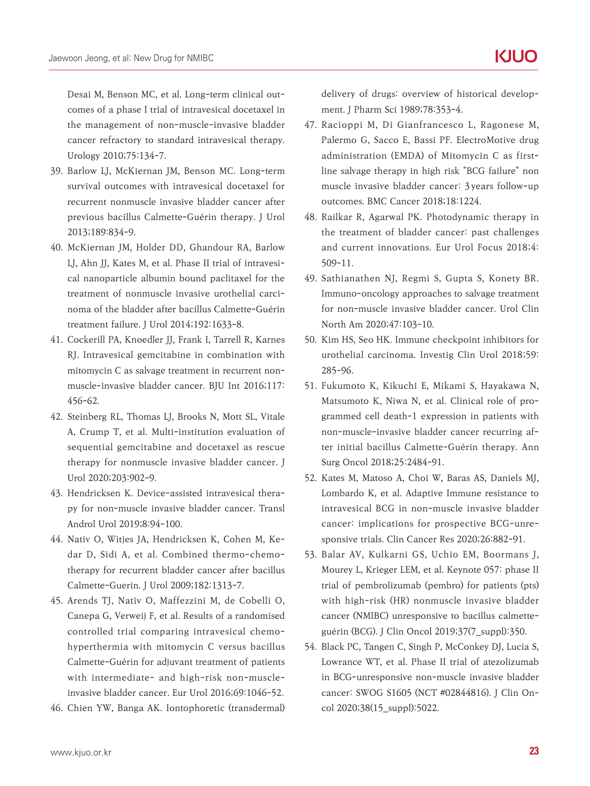Desai M, Benson MC, et al. Long-term clinical outcomes of a phase I trial of intravesical docetaxel in the management of non-muscle-invasive bladder cancer refractory to standard intravesical therapy. Urology 2010;75:134-7.

- 39. Barlow LJ, McKiernan JM, Benson MC. Long-term survival outcomes with intravesical docetaxel for recurrent nonmuscle invasive bladder cancer after previous bacillus Calmette-Guérin therapy. J Urol 2013;189:834-9.
- 40. McKiernan JM, Holder DD, Ghandour RA, Barlow LJ, Ahn JJ, Kates M, et al. Phase II trial of intravesical nanoparticle albumin bound paclitaxel for the treatment of nonmuscle invasive urothelial carcinoma of the bladder after bacillus Calmette-Guérin treatment failure. J Urol 2014;192:1633-8.
- 41. Cockerill PA, Knoedler JJ, Frank I, Tarrell R, Karnes RJ. Intravesical gemcitabine in combination with mitomycin C as salvage treatment in recurrent nonmuscle-invasive bladder cancer. BJU Int 2016;117: 456-62.
- 42. Steinberg RL, Thomas LJ, Brooks N, Mott SL, Vitale A, Crump T, et al. Multi-institution evaluation of sequential gemcitabine and docetaxel as rescue therapy for nonmuscle invasive bladder cancer. J Urol 2020;203:902-9.
- 43. Hendricksen K. Device-assisted intravesical therapy for non-muscle invasive bladder cancer. Transl Androl Urol 2019;8:94-100.
- 44. Nativ O, Witjes JA, Hendricksen K, Cohen M, Kedar D, Sidi A, et al. Combined thermo-chemotherapy for recurrent bladder cancer after bacillus Calmette-Guerin. J Urol 2009;182:1313-7.
- 45. Arends TJ, Nativ O, Maffezzini M, de Cobelli O, Canepa G, Verweij F, et al. Results of a randomised controlled trial comparing intravesical chemohyperthermia with mitomycin C versus bacillus Calmette-Guérin for adjuvant treatment of patients with intermediate- and high-risk non-muscleinvasive bladder cancer. Eur Urol 2016;69:1046-52.
- 46. Chien YW, Banga AK. Iontophoretic (transdermal)

delivery of drugs: overview of historical development. J Pharm Sci 1989;78:353-4.

- 47. Racioppi M, Di Gianfrancesco L, Ragonese M, Palermo G, Sacco E, Bassi PF. ElectroMotive drug administration (EMDA) of Mitomycin C as firstline salvage therapy in high risk "BCG failure" non muscle invasive bladder cancer: 3 years follow-up outcomes. BMC Cancer 2018;18:1224.
- 48. Railkar R, Agarwal PK. Photodynamic therapy in the treatment of bladder cancer: past challenges and current innovations. Eur Urol Focus 2018;4: 509-11.
- 49. Sathianathen NJ, Regmi S, Gupta S, Konety BR. Immuno-oncology approaches to salvage treatment for non-muscle invasive bladder cancer. Urol Clin North Am 2020;47:103-10.
- 50. Kim HS, Seo HK. Immune checkpoint inhibitors for urothelial carcinoma. Investig Clin Urol 2018;59: 285-96.
- 51. Fukumoto K, Kikuchi E, Mikami S, Hayakawa N, Matsumoto K, Niwa N, et al. Clinical role of programmed cell death-1 expression in patients with non-muscle-invasive bladder cancer recurring after initial bacillus Calmette-Guérin therapy. Ann Surg Oncol 2018;25:2484-91.
- 52. Kates M, Matoso A, Choi W, Baras AS, Daniels MJ, Lombardo K, et al. Adaptive Immune resistance to intravesical BCG in non-muscle invasive bladder cancer: implications for prospective BCG-unresponsive trials. Clin Cancer Res 2020;26:882-91.
- 53. Balar AV, Kulkarni GS, Uchio EM, Boormans J, Mourey L, Krieger LEM, et al. Keynote 057: phase II trial of pembrolizumab (pembro) for patients (pts) with high-risk (HR) nonmuscle invasive bladder cancer (NMIBC) unresponsive to bacillus calmetteguérin (BCG). J Clin Oncol 2019;37(7\_suppl):350.
- 54. Black PC, Tangen C, Singh P, McConkey DJ, Lucia S, Lowrance WT, et al. Phase II trial of atezolizumab in BCG-unresponsive non-muscle invasive bladder cancer: SWOG S1605 (NCT #02844816). J Clin Oncol 2020;38(15\_suppl):5022.